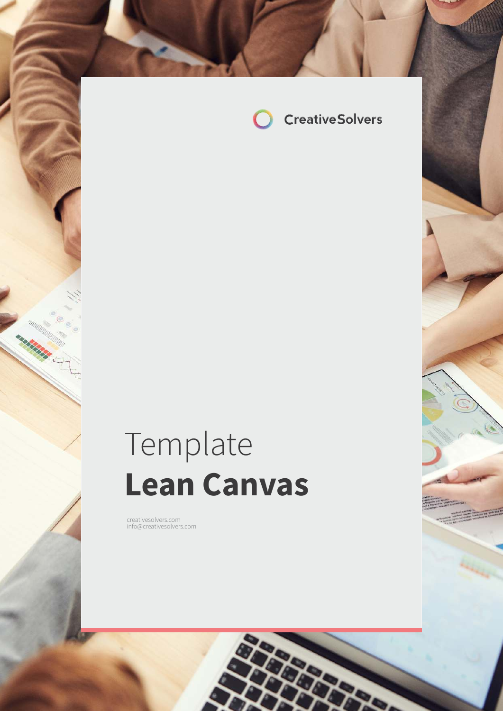

# Template **Lean Canvas**

com in formal company of the creatives of the creatives of the creatives of the creatives of the creatives of the creatives of the creatives of the creatives of the creatives of the creatives of the creatives of the creati

creativesolvers.com info@creativesolvers.com

a birtir.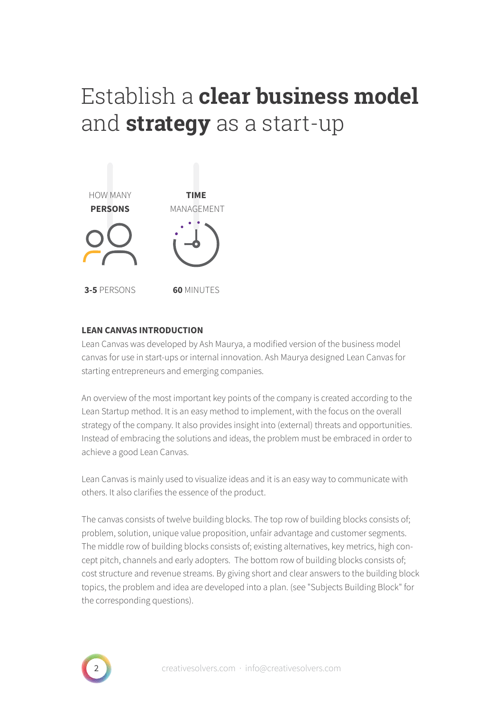## Establish a **clear business model**  and **strategy** as a start-up



#### **LEAN CANVAS INTRODUCTION**

Lean Canvas was developed by Ash Maurya, a modified version of the business model canvas for use in start-ups or internal innovation. Ash Maurya designed Lean Canvas for starting entrepreneurs and emerging companies.

An overview of the most important key points of the company is created according to the Lean Startup method. It is an easy method to implement, with the focus on the overall strategy of the company. It also provides insight into (external) threats and opportunities. Instead of embracing the solutions and ideas, the problem must be embraced in order to achieve a good Lean Canvas.

Lean Canvas is mainly used to visualize ideas and it is an easy way to communicate with others. It also clarifies the essence of the product.

The canvas consists of twelve building blocks. The top row of building blocks consists of; problem, solution, unique value proposition, unfair advantage and customer segments. The middle row of building blocks consists of; existing alternatives, key metrics, high concept pitch, channels and early adopters. The bottom row of building blocks consists of; cost structure and revenue streams. By giving short and clear answers to the building block topics, the problem and idea are developed into a plan. (see "Subjects Building Block" for the corresponding questions).

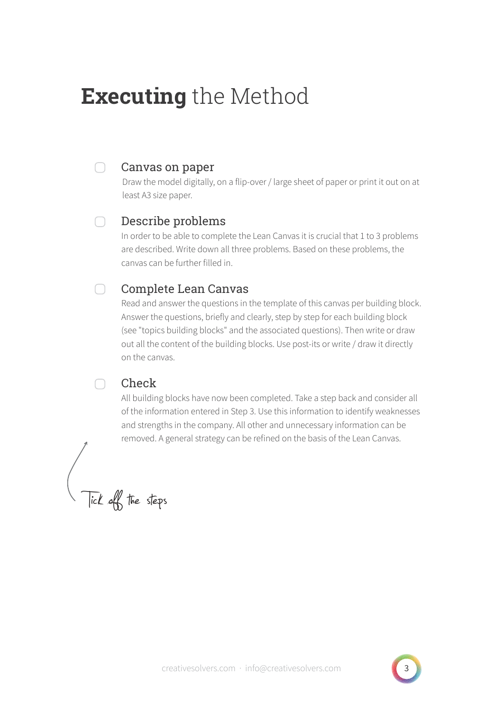## **Executing** the Method

#### Canvas on paper

 $\Box$ 

Draw the model digitally, on a flip-over / large sheet of paper or print it out on at least A3 size paper.

#### ∩ Describe problems

In order to be able to complete the Lean Canvas it is crucial that 1 to 3 problems are described. Write down all three problems. Based on these problems, the canvas can be further filled in.

#### $\Box$ Complete Lean Canvas

Read and answer the questions in the template of this canvas per building block. Answer the questions, briefly and clearly, step by step for each building block (see "topics building blocks" and the associated questions). Then write or draw out all the content of the building blocks. Use post-its or write / draw it directly on the canvas.

#### Check

 $\cap$ 

All building blocks have now been completed. Take a step back and consider all of the information entered in Step 3. Use this information to identify weaknesses and strengths in the company. All other and unnecessary information can be removed. A general strategy can be refined on the basis of the Lean Canvas.

Tick off the steps

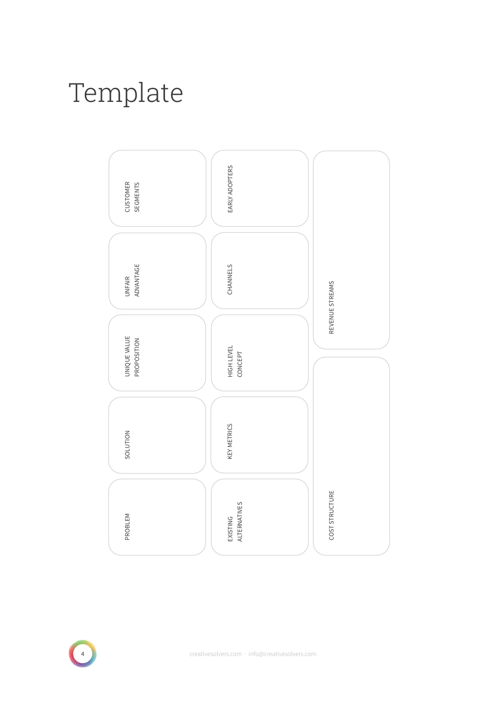# Template